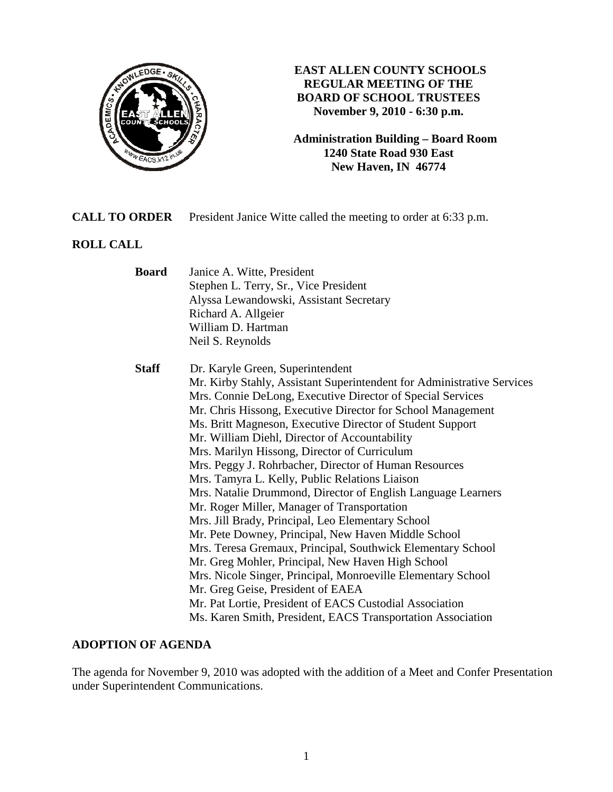

# **EAST ALLEN COUNTY SCHOOLS REGULAR MEETING OF THE BOARD OF SCHOOL TRUSTEES November 9, 2010 - 6:30 p.m.**

**Administration Building – Board Room 1240 State Road 930 East New Haven, IN 46774**

# **CALL TO ORDER** President Janice Witte called the meeting to order at 6:33 p.m.

# **ROLL CALL**

| <b>Board</b> | Janice A. Witte, President<br>Stephen L. Terry, Sr., Vice President<br>Alyssa Lewandowski, Assistant Secretary<br>Richard A. Allgeier<br>William D. Hartman<br>Neil S. Reynolds                                                                                                                                                                                                                                                                                                                                                                                                                                                                                                                                                                                                                                                                                                                                                                                                                                                                                                                |
|--------------|------------------------------------------------------------------------------------------------------------------------------------------------------------------------------------------------------------------------------------------------------------------------------------------------------------------------------------------------------------------------------------------------------------------------------------------------------------------------------------------------------------------------------------------------------------------------------------------------------------------------------------------------------------------------------------------------------------------------------------------------------------------------------------------------------------------------------------------------------------------------------------------------------------------------------------------------------------------------------------------------------------------------------------------------------------------------------------------------|
| <b>Staff</b> | Dr. Karyle Green, Superintendent<br>Mr. Kirby Stahly, Assistant Superintendent for Administrative Services<br>Mrs. Connie DeLong, Executive Director of Special Services<br>Mr. Chris Hissong, Executive Director for School Management<br>Ms. Britt Magneson, Executive Director of Student Support<br>Mr. William Diehl, Director of Accountability<br>Mrs. Marilyn Hissong, Director of Curriculum<br>Mrs. Peggy J. Rohrbacher, Director of Human Resources<br>Mrs. Tamyra L. Kelly, Public Relations Liaison<br>Mrs. Natalie Drummond, Director of English Language Learners<br>Mr. Roger Miller, Manager of Transportation<br>Mrs. Jill Brady, Principal, Leo Elementary School<br>Mr. Pete Downey, Principal, New Haven Middle School<br>Mrs. Teresa Gremaux, Principal, Southwick Elementary School<br>Mr. Greg Mohler, Principal, New Haven High School<br>Mrs. Nicole Singer, Principal, Monroeville Elementary School<br>Mr. Greg Geise, President of EAEA<br>Mr. Pat Lortie, President of EACS Custodial Association<br>Ms. Karen Smith, President, EACS Transportation Association |

# **ADOPTION OF AGENDA**

The agenda for November 9, 2010 was adopted with the addition of a Meet and Confer Presentation under Superintendent Communications.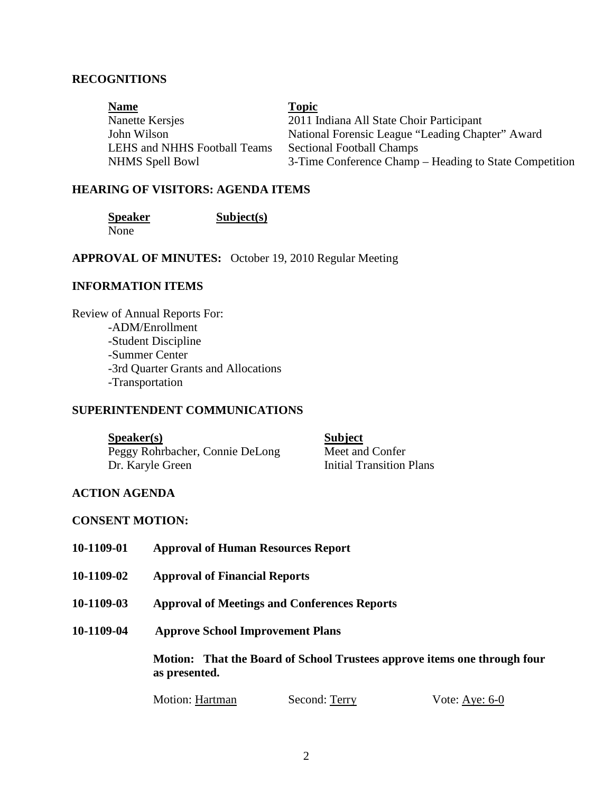### **RECOGNITIONS**

| <b>Name</b>                  | <b>Topic</b>                                           |
|------------------------------|--------------------------------------------------------|
| Nanette Kersjes              | 2011 Indiana All State Choir Participant               |
| John Wilson                  | National Forensic League "Leading Chapter" Award       |
| LEHS and NHHS Football Teams | <b>Sectional Football Champs</b>                       |
| <b>NHMS</b> Spell Bowl       | 3-Time Conference Champ – Heading to State Competition |

### **HEARING OF VISITORS: AGENDA ITEMS**

None

**Speaker** Subject(s)

**APPROVAL OF MINUTES:** October 19, 2010 Regular Meeting

# **INFORMATION ITEMS**

Review of Annual Reports For: -ADM/Enrollment -Student Discipline -Summer Center -3rd Quarter Grants and Allocations -Transportation

#### **SUPERINTENDENT COMMUNICATIONS**

**Speaker(s)** Subject Peggy Rohrbacher, Connie DeLong Meet and Confer Dr. Karyle Green Initial Transition Plans

### **ACTION AGENDA**

#### **CONSENT MOTION:**

- **10-1109-01 Approval of Human Resources Report**
- **10-1109-02 Approval of Financial Reports**
- **10-1109-03 Approval of Meetings and Conferences Reports**
- **10-1109-04 Approve School Improvement Plans**

 **Motion: That the Board of School Trustees approve items one through four as presented.** 

Motion: Hartman Second: Terry Vote: Aye: 6-0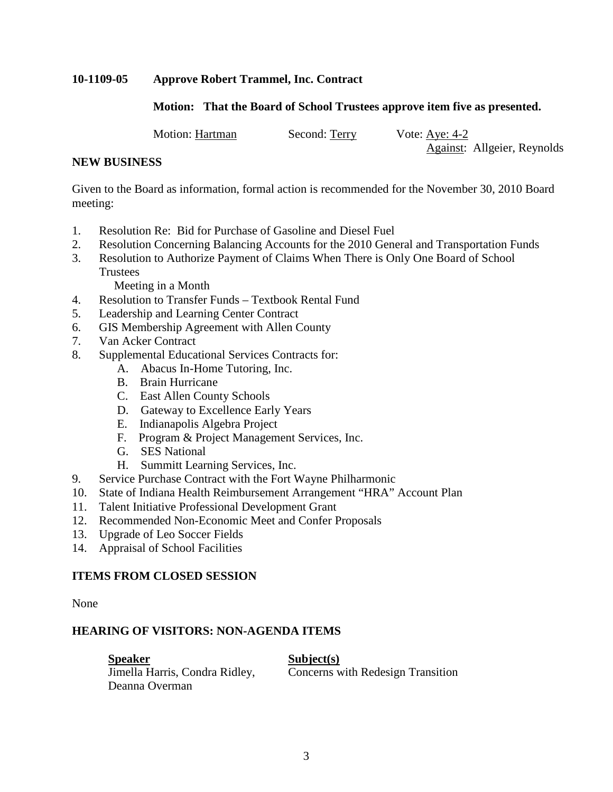# **10-1109-05 Approve Robert Trammel, Inc. Contract**

# **Motion: That the Board of School Trustees approve item five as presented.**

Motion: Hartman Second: Terry Vote: Aye: 4-2

Against: Allgeier, Reynolds

### **NEW BUSINESS**

Given to the Board as information, formal action is recommended for the November 30, 2010 Board meeting:

- 1. Resolution Re: Bid for Purchase of Gasoline and Diesel Fuel
- 2. Resolution Concerning Balancing Accounts for the 2010 General and Transportation Funds
- 3. Resolution to Authorize Payment of Claims When There is Only One Board of School **Trustees**

Meeting in a Month

- 4. Resolution to Transfer Funds Textbook Rental Fund
- 5. Leadership and Learning Center Contract
- 6. GIS Membership Agreement with Allen County
- 7. Van Acker Contract
- 8. Supplemental Educational Services Contracts for:
	- A. Abacus In-Home Tutoring, Inc.
	- B. Brain Hurricane
	- C. East Allen County Schools
	- D. Gateway to Excellence Early Years
	- E. Indianapolis Algebra Project
	- F. Program & Project Management Services, Inc.
	- G. SES National
	- H. Summitt Learning Services, Inc.
- 9. Service Purchase Contract with the Fort Wayne Philharmonic
- 10. State of Indiana Health Reimbursement Arrangement "HRA" Account Plan
- 11. Talent Initiative Professional Development Grant
- 12. Recommended Non-Economic Meet and Confer Proposals
- 13. Upgrade of Leo Soccer Fields
- 14. Appraisal of School Facilities

# **ITEMS FROM CLOSED SESSION**

None

# **HEARING OF VISITORS: NON-AGENDA ITEMS**

**Speaker** Subject(s) Deanna Overman

Jimella Harris, Condra Ridley, Concerns with Redesign Transition